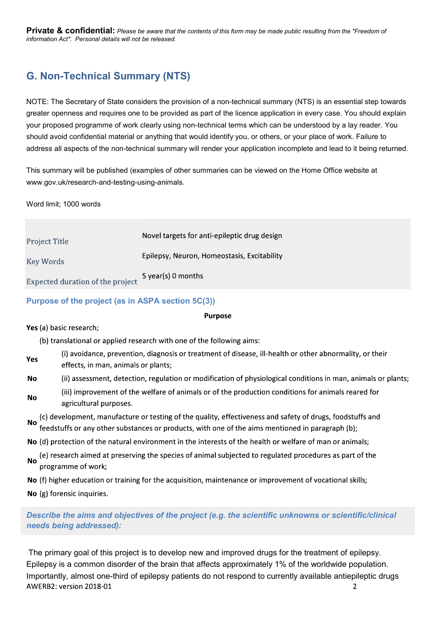Private & confidential: Please be aware that the contents of this form may be made public resulting from the "Freedom of information Act". Personal details will not be released.

# G. Non-Technical Summary (NTS)

NOTE: The Secretary of State considers the provision of a non-technical summary (NTS) is an essential step towards greater openness and requires one to be provided as part of the licence application in every case. You should explain your proposed programme of work clearly using non-technical terms which can be understood by a lay reader. You should avoid confidential material or anything that would identify you, or others, or your place of work. Failure to address all aspects of the non-technical summary will render your application incomplete and lead to it being returned.

This summary will be published (examples of other summaries can be viewed on the Home Office website at www.gov.uk/research-and-testing-using-animals.

Word limit; 1000 words

| <b>Project Title</b>             | Novel targets for anti-epileptic drug design |
|----------------------------------|----------------------------------------------|
| Key Words                        | Epilepsy, Neuron, Homeostasis, Excitability  |
| Expected duration of the project | 5 year(s) 0 months                           |

### Purpose of the project (as in ASPA section 5C(3))

#### **Purpose**

Yes (a) basic research;

- (b) translational or applied research with one of the following aims:
- (i) avoidance, prevention, diagnosis or treatment of disease, ill-health or other abnormality, or their Yes effects, in man, animals or plants;
- **No** (ii) assessment, detection, regulation or modification of physiological conditions in man, animals or plants;
- (iii) improvement of the welfare of animals or of the production conditions for animals reared for **No** agricultural purposes.
- (c) development, manufacture or testing of the quality, effectiveness and safety of drugs, foodstuffs and **No** feedstuffs or any other substances or products, with one of the aims mentioned in paragraph (b);
- No (d) protection of the natural environment in the interests of the health or welfare of man or animals;
- (e) research aimed at preserving the species of animal subjected to regulated procedures as part of the **No** programme of work;
- No (f) higher education or training for the acquisition, maintenance or improvement of vocational skills;
- No (g) forensic inquiries.

# Describe the aims and objectives of the project (e.g. the scientific unknowns or scientific/clinical needs being addressed):

The primary goal of this project is to develop new and improved drugs for the treatment of epilepsy. Epilepsy is a common disorder of the brain that affects approximately 1% of the worldwide population. Importantly, almost one-third of epilepsy patients do not respond to currently available antiepileptic drugs AWERB2: version 2018-01 2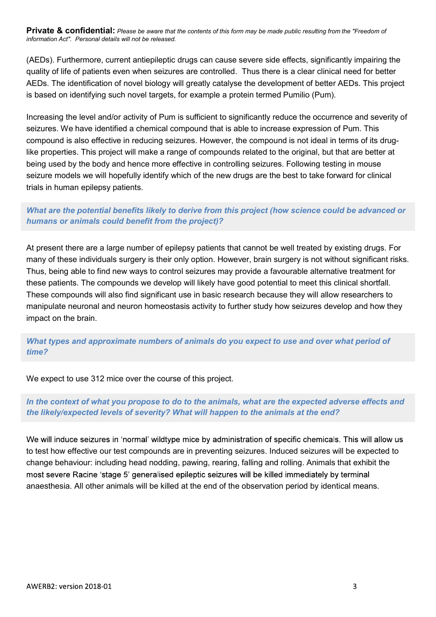Private & confidential: Please be aware that the contents of this form may be made public resulting from the "Freedom of information Act". Personal details will not be released.

(AEDs). Furthermore, current antiepileptic drugs can cause severe side effects, significantly impairing the quality of life of patients even when seizures are controlled. Thus there is a clear clinical need for better AEDs. The identification of novel biology will greatly catalyse the development of better AEDs. This project is based on identifying such novel targets, for example a protein termed Pumilio (Pum).

Increasing the level and/or activity of Pum is sufficient to significantly reduce the occurrence and severity of seizures. We have identified a chemical compound that is able to increase expression of Pum. This compound is also effective in reducing seizures. However, the compound is not ideal in terms of its druglike properties. This project will make a range of compounds related to the original, but that are better at being used by the body and hence more effective in controlling seizures. Following testing in mouse seizure models we will hopefully identify which of the new drugs are the best to take forward for clinical trials in human epilepsy patients.

# What are the potential benefits likely to derive from this project (how science could be advanced or humans or animals could benefit from the project)?

At present there are a large number of epilepsy patients that cannot be well treated by existing drugs. For many of these individuals surgery is their only option. However, brain surgery is not without significant risks. Thus, being able to find new ways to control seizures may provide a favourable alternative treatment for these patients. The compounds we develop will likely have good potential to meet this clinical shortfall. These compounds will also find significant use in basic research because they will allow researchers to manipulate neuronal and neuron homeostasis activity to further study how seizures develop and how they impact on the brain.

# What types and approximate numbers of animals do you expect to use and over what period of time?

We expect to use 312 mice over the course of this project.

In the context of what you propose to do to the animals, what are the expected adverse effects and the likely/expected levels of severity? What will happen to the animals at the end?

We will induce seizures in 'normal' wildtype mice by administration of specific chemicals. This will allow us to test how effective our test compounds are in preventing seizures. Induced seizures will be expected to change behaviour: including head nodding, pawing, rearing, falling and rolling. Animals that exhibit the most severe Racine 'stage 5' generalised epileptic seizures will be killed immediately by terminal anaesthesia. All other animals will be killed at the end of the observation period by identical means.